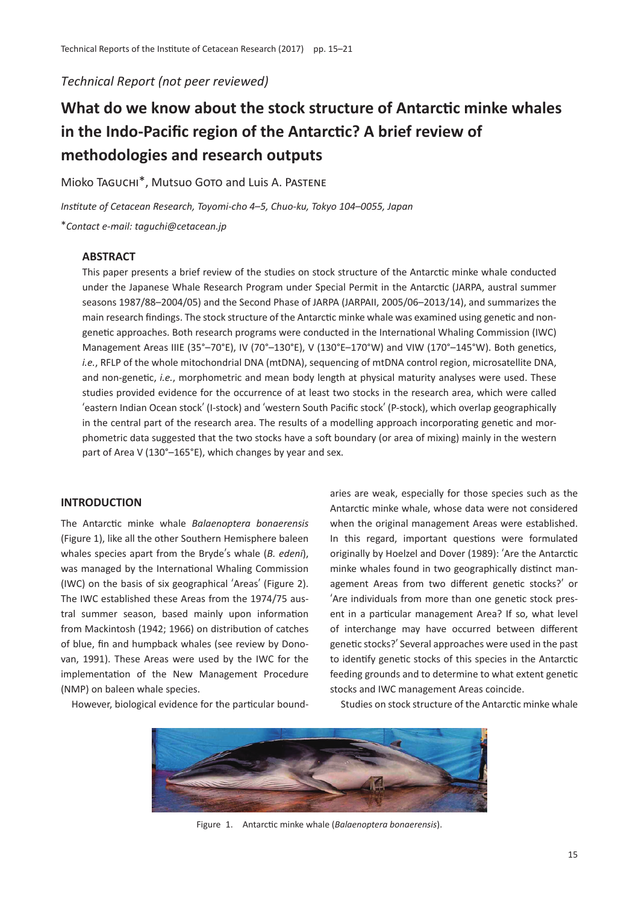*Technical Report (not peer reviewed)*

# **What do we know about the stock structure of Antarctic minke whales in the Indo-Pacific region of the Antarctic? A brief review of methodologies and research outputs**

Mioko Taguchi\*, Mutsuo Goto and Luis A. Pastene

*Institute of Cetacean Research, Toyomi-cho 4*–*5, Chuo-ku, Tokyo 104*–*0055, Japan* \**Contact e-mail: taguchi@cetacean.jp*

# **ABSTRACT**

This paper presents a brief review of the studies on stock structure of the Antarctic minke whale conducted under the Japanese Whale Research Program under Special Permit in the Antarctic (JARPA, austral summer seasons 1987/88–2004/05) and the Second Phase of JARPA (JARPAII, 2005/06–2013/14), and summarizes the main research findings. The stock structure of the Antarctic minke whale was examined using genetic and nongenetic approaches. Both research programs were conducted in the International Whaling Commission (IWC) Management Areas IIIE (35°-70°E), IV (70°-130°E), V (130°E-170°W) and VIW (170°-145°W). Both genetics, *i.e.*, RFLP of the whole mitochondrial DNA (mtDNA), sequencing of mtDNA control region, microsatellite DNA, and non-genetic, *i.e.*, morphometric and mean body length at physical maturity analyses were used. These studies provided evidence for the occurrence of at least two stocks in the research area, which were called ʻeastern Indian Ocean stock' (I-stock) and ʻwestern South Pacific stock' (P-stock), which overlap geographically in the central part of the research area. The results of a modelling approach incorporating genetic and morphometric data suggested that the two stocks have a soft boundary (or area of mixing) mainly in the western part of Area V (130°–165°E), which changes by year and sex.

# **INTRODUCTION**

The Antarctic minke whale *Balaenoptera bonaerensis* (Figure 1), like all the other Southern Hemisphere baleen whales species apart from the Bryde's whale (*B. edeni*), was managed by the International Whaling Commission (IWC) on the basis of six geographical ʻAreas' (Figure 2). The IWC established these Areas from the 1974/75 austral summer season, based mainly upon information from Mackintosh (1942; 1966) on distribution of catches of blue, fin and humpback whales (see review by Donovan, 1991). These Areas were used by the IWC for the implementation of the New Management Procedure (NMP) on baleen whale species.

However, biological evidence for the particular bound-

aries are weak, especially for those species such as the Antarctic minke whale, whose data were not considered when the original management Areas were established. In this regard, important questions were formulated originally by Hoelzel and Dover (1989): ʻAre the Antarctic minke whales found in two geographically distinct management Areas from two different genetic stocks?' or ʻAre individuals from more than one genetic stock present in a particular management Area? If so, what level of interchange may have occurred between different genetic stocks?' Several approaches were used in the past to identify genetic stocks of this species in the Antarctic feeding grounds and to determine to what extent genetic stocks and IWC management Areas coincide.

Studies on stock structure of the Antarctic minke whale



Figure 1. Antarctic minke whale (*Balaenoptera bonaerensis*).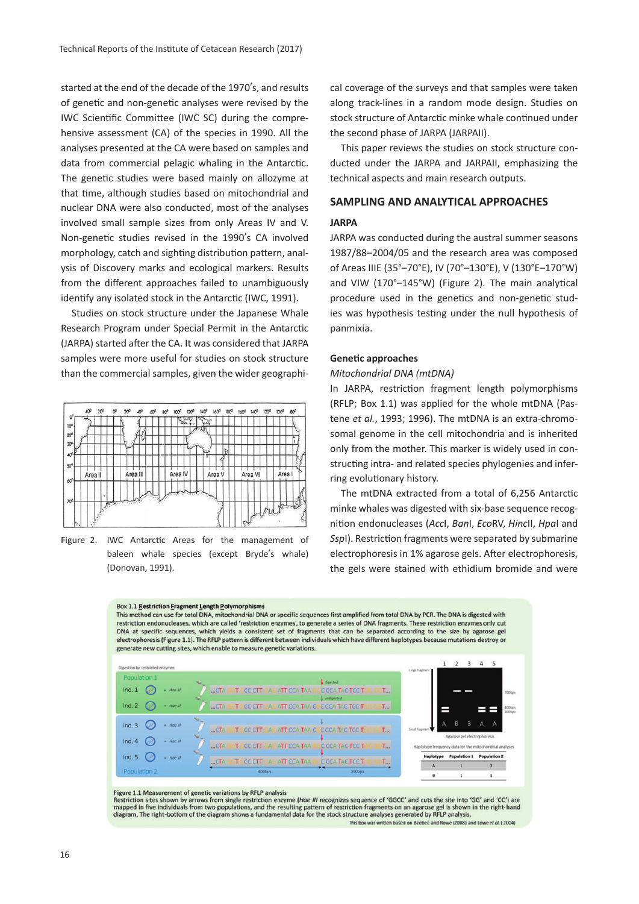started at the end of the decade of the 1970's, and results of genetic and non-genetic analyses were revised by the IWC Scientific Committee (IWC SC) during the comprehensive assessment (CA) of the species in 1990. All the analyses presented at the CA were based on samples and data from commercial pelagic whaling in the Antarctic. The genetic studies were based mainly on allozyme at that time, although studies based on mitochondrial and nuclear DNA were also conducted, most of the analyses involved small sample sizes from only Areas IV and V. Non-genetic studies revised in the 1990's CA involved morphology, catch and sighting distribution pattern, analysis of Discovery marks and ecological markers. Results from the different approaches failed to unambiguously identify any isolated stock in the Antarctic (IWC, 1991).

Studies on stock structure under the Japanese Whale Research Program under Special Permit in the Antarctic (JARPA) started after the CA. It was considered that JARPA samples were more useful for studies on stock structure than the commercial samples, given the wider geographi-



Figure 2. IWC Antarctic Areas for the management of baleen whale species (except Bryde's whale) (Donovan, 1991).

cal coverage of the surveys and that samples were taken along track-lines in a random mode design. Studies on stock structure of Antarctic minke whale continued under the second phase of JARPA (JARPAII).

This paper reviews the studies on stock structure conducted under the JARPA and JARPAII, emphasizing the technical aspects and main research outputs.

# **SAMPLING AND ANALYTICAL APPROACHES**

#### **JARPA**

JARPA was conducted during the austral summer seasons 1987/88–2004/05 and the research area was composed of Areas IIIE (35°–70°E), IV (70°–130°E), V (130°E–170°W) and VIW (170°–145°W) (Figure 2). The main analytical procedure used in the genetics and non-genetic studies was hypothesis testing under the null hypothesis of panmixia.

#### **Genetic approaches**

## *Mitochondrial DNA (mtDNA)*

In JARPA, restriction fragment length polymorphisms (RFLP; Box 1.1) was applied for the whole mtDNA (Pastene *et al.*, 1993; 1996). The mtDNA is an extra-chromosomal genome in the cell mitochondria and is inherited only from the mother. This marker is widely used in constructing intra- and related species phylogenies and inferring evolutionary history.

The mtDNA extracted from a total of 6,256 Antarctic minke whales was digested with six-base sequence recognition endonucleases (*Acc*I, *Ban*I, *Eco*RV, *Hinc*II, *Hpa*I and *Ssp*I). Restriction fragments were separated by submarine electrophoresis in 1% agarose gels. After electrophoresis, the gels were stained with ethidium bromide and were



#### Figure 1.1 Measurement of genetic variations by RFLP analysis

Restriction sites shown by arrows from single restriction enzyme (Hae III recognizes sequence of 'GGCC' and cuts the site into 'GG' and 'CC') are mapped in five individuals from two populations, and the resulting pattern of restriction fragments on an agarose gel is shown in the right-hand diagram. The right-bottom of the diagram shows a fundamental data for the sto

sed on Reeh d Rowe (2008) and Lowe et al. (2004)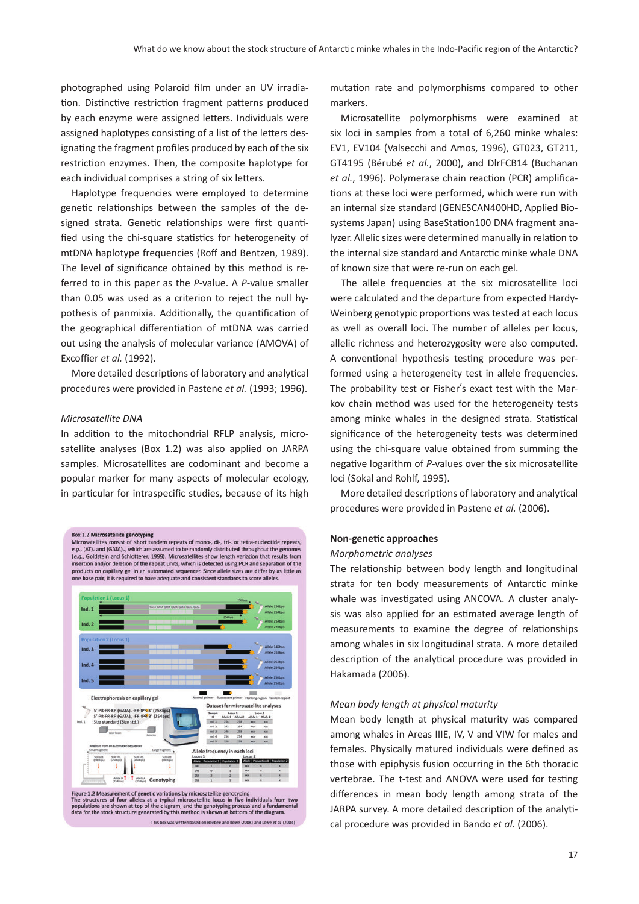photographed using Polaroid film under an UV irradiation. Distinctive restriction fragment patterns produced by each enzyme were assigned letters. Individuals were assigned haplotypes consisting of a list of the letters designating the fragment profiles produced by each of the six restriction enzymes. Then, the composite haplotype for each individual comprises a string of six letters.

Haplotype frequencies were employed to determine genetic relationships between the samples of the designed strata. Genetic relationships were first quantified using the chi-square statistics for heterogeneity of mtDNA haplotype frequencies (Roff and Bentzen, 1989). The level of significance obtained by this method is referred to in this paper as the *P*-value. A *P*-value smaller than 0.05 was used as a criterion to reject the null hypothesis of panmixia. Additionally, the quantification of the geographical differentiation of mtDNA was carried out using the analysis of molecular variance (AMOVA) of Excoffier *et al.* (1992).

More detailed descriptions of laboratory and analytical procedures were provided in Pastene *et al.* (1993; 1996).

#### *Microsatellite DNA*

In addition to the mitochondrial RFLP analysis, microsatellite analyses (Box 1.2) was also applied on JARPA samples. Microsatellites are codominant and become a popular marker for many aspects of molecular ecology, in particular for intraspecific studies, because of its high





This box was written based on Beebee and Rowe (2008) and Lowe et al. (2004)

mutation rate and polymorphisms compared to other markers.

Microsatellite polymorphisms were examined at six loci in samples from a total of 6,260 minke whales: EV1, EV104 (Valsecchi and Amos, 1996), GT023, GT211, GT4195 (Bérubé *et al.*, 2000), and DlrFCB14 (Buchanan *et al.*, 1996). Polymerase chain reaction (PCR) amplifications at these loci were performed, which were run with an internal size standard (GENESCAN400HD, Applied Biosystems Japan) using BaseStation100 DNA fragment analyzer. Allelic sizes were determined manually in relation to the internal size standard and Antarctic minke whale DNA of known size that were re-run on each gel.

The allele frequencies at the six microsatellite loci were calculated and the departure from expected Hardy-Weinberg genotypic proportions was tested at each locus as well as overall loci. The number of alleles per locus, allelic richness and heterozygosity were also computed. A conventional hypothesis testing procedure was performed using a heterogeneity test in allele frequencies. The probability test or Fisher's exact test with the Markov chain method was used for the heterogeneity tests among minke whales in the designed strata. Statistical significance of the heterogeneity tests was determined using the chi-square value obtained from summing the negative logarithm of *P*-values over the six microsatellite loci (Sokal and Rohlf, 1995).

More detailed descriptions of laboratory and analytical procedures were provided in Pastene *et al.* (2006).

#### **Non-genetic approaches**

#### *Morphometric analyses*

The relationship between body length and longitudinal strata for ten body measurements of Antarctic minke whale was investigated using ANCOVA. A cluster analysis was also applied for an estimated average length of measurements to examine the degree of relationships among whales in six longitudinal strata. A more detailed description of the analytical procedure was provided in Hakamada (2006).

#### *Mean body length at physical maturity*

Mean body length at physical maturity was compared among whales in Areas IIIE, IV, V and VIW for males and females. Physically matured individuals were defined as those with epiphysis fusion occurring in the 6th thoracic vertebrae. The t-test and ANOVA were used for testing differences in mean body length among strata of the JARPA survey. A more detailed description of the analytical procedure was provided in Bando *et al.* (2006).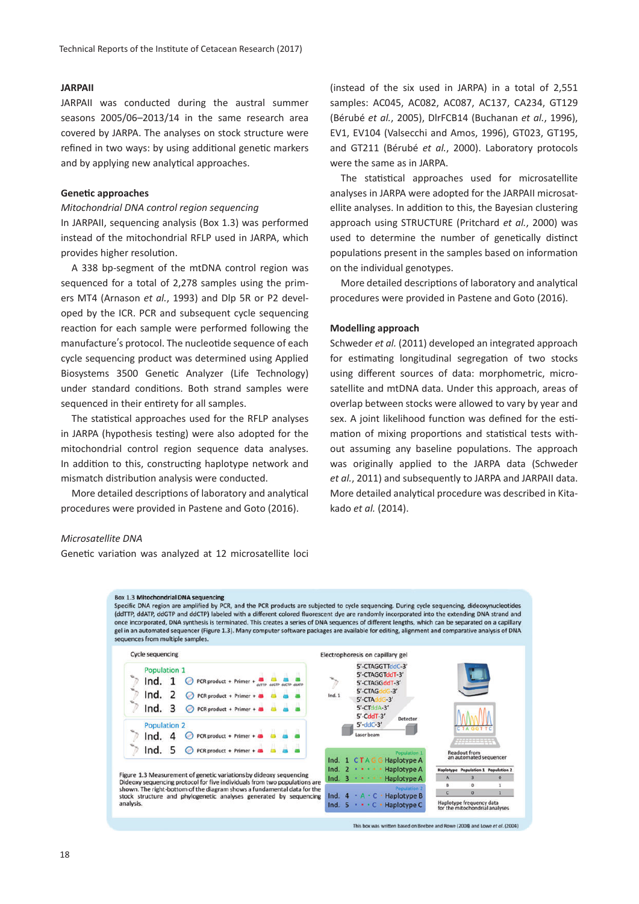# **JARPAII**

JARPAII was conducted during the austral summer seasons 2005/06–2013/14 in the same research area covered by JARPA. The analyses on stock structure were refined in two ways: by using additional genetic markers and by applying new analytical approaches.

# **Genetic approaches**

# *Mitochondrial DNA control region sequencing*

In JARPAII, sequencing analysis (Box 1.3) was performed instead of the mitochondrial RFLP used in JARPA, which provides higher resolution.

A 338 bp-segment of the mtDNA control region was sequenced for a total of 2,278 samples using the primers MT4 (Arnason *et al.*, 1993) and Dlp 5R or P2 developed by the ICR. PCR and subsequent cycle sequencing reaction for each sample were performed following the manufacture's protocol. The nucleotide sequence of each cycle sequencing product was determined using Applied Biosystems 3500 Genetic Analyzer (Life Technology) under standard conditions. Both strand samples were sequenced in their entirety for all samples.

The statistical approaches used for the RFLP analyses in JARPA (hypothesis testing) were also adopted for the mitochondrial control region sequence data analyses. In addition to this, constructing haplotype network and mismatch distribution analysis were conducted.

More detailed descriptions of laboratory and analytical procedures were provided in Pastene and Goto (2016).

(instead of the six used in JARPA) in a total of 2,551 samples: AC045, AC082, AC087, AC137, CA234, GT129 (Bérubé *et al.*, 2005), DlrFCB14 (Buchanan *et al.*, 1996), EV1, EV104 (Valsecchi and Amos, 1996), GT023, GT195, and GT211 (Bérubé *et al.*, 2000). Laboratory protocols were the same as in JARPA.

The statistical approaches used for microsatellite analyses in JARPA were adopted for the JARPAII microsatellite analyses. In addition to this, the Bayesian clustering approach using STRUCTURE (Pritchard *et al.*, 2000) was used to determine the number of genetically distinct populations present in the samples based on information on the individual genotypes.

More detailed descriptions of laboratory and analytical procedures were provided in Pastene and Goto (2016).

# **Modelling approach**

Schweder *et al.* (2011) developed an integrated approach for estimating longitudinal segregation of two stocks using different sources of data: morphometric, microsatellite and mtDNA data. Under this approach, areas of overlap between stocks were allowed to vary by year and sex. A joint likelihood function was defined for the estimation of mixing proportions and statistical tests without assuming any baseline populations. The approach was originally applied to the JARPA data (Schweder *et al.*, 2011) and subsequently to JARPA and JARPAII data. More detailed analytical procedure was described in Kitakado *et al.* (2014).

#### *Microsatellite DNA*

Genetic variation was analyzed at 12 microsatellite loci



This box was written based on Beebee and Rowe (2008) and Lowe et al. (2004)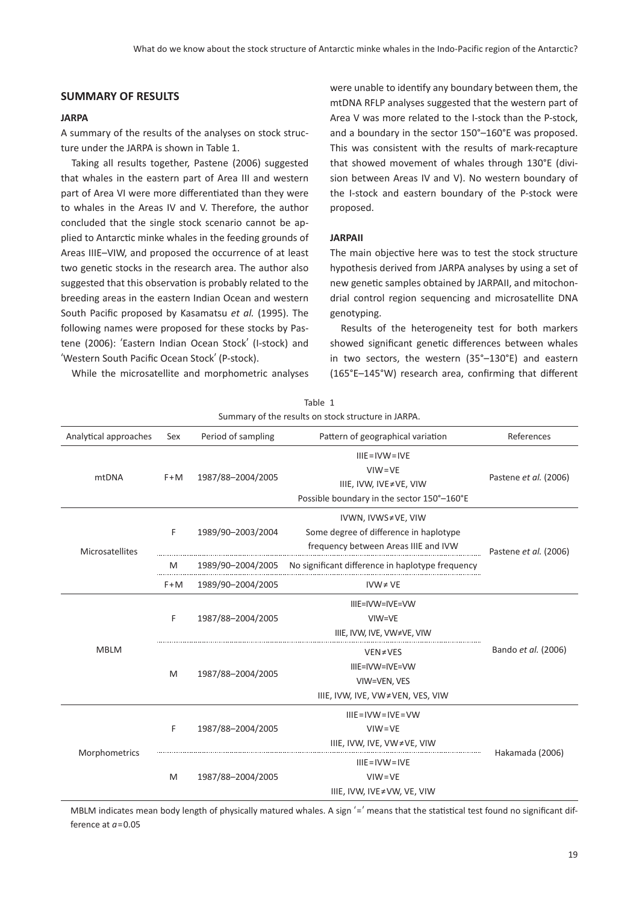# **SUMMARY OF RESULTS**

#### **JARPA**

A summary of the results of the analyses on stock structure under the JARPA is shown in Table 1.

Taking all results together, Pastene (2006) suggested that whales in the eastern part of Area III and western part of Area VI were more differentiated than they were to whales in the Areas IV and V. Therefore, the author concluded that the single stock scenario cannot be applied to Antarctic minke whales in the feeding grounds of Areas IIIE–VIW, and proposed the occurrence of at least two genetic stocks in the research area. The author also suggested that this observation is probably related to the breeding areas in the eastern Indian Ocean and western South Pacific proposed by Kasamatsu *et al.* (1995). The following names were proposed for these stocks by Pastene (2006): ʻEastern Indian Ocean Stock' (I-stock) and ʻWestern South Pacific Ocean Stock' (P-stock).

While the microsatellite and morphometric analyses

were unable to identify any boundary between them, the mtDNA RFLP analyses suggested that the western part of Area V was more related to the I-stock than the P-stock, and a boundary in the sector 150°–160°E was proposed. This was consistent with the results of mark-recapture that showed movement of whales through 130°E (division between Areas IV and V). No western boundary of the I-stock and eastern boundary of the P-stock were proposed.

## **JARPAII**

The main objective here was to test the stock structure hypothesis derived from JARPA analyses by using a set of new genetic samples obtained by JARPAII, and mitochondrial control region sequencing and microsatellite DNA genotyping.

Results of the heterogeneity test for both markers showed significant genetic differences between whales in two sectors, the western (35°–130°E) and eastern (165°E–145°W) research area, confirming that different

| Analytical approaches | Sex   | Period of sampling | Pattern of geographical variation                                                                        | References            |
|-----------------------|-------|--------------------|----------------------------------------------------------------------------------------------------------|-----------------------|
| mtDNA                 | $F+M$ | 1987/88-2004/2005  | $IIIE = IVW = IVE$<br>$VIW = VE$<br>IIIE, IVW, IVE≠VE, VIW<br>Possible boundary in the sector 150°-160°E | Pastene et al. (2006) |
| Microsatellites       | F     | 1989/90-2003/2004  | IVWN, IVWS≠VE, VIW<br>Some degree of difference in haplotype<br>frequency between Areas IIIE and IVW     | Pastene et al. (2006) |
|                       | M     | 1989/90-2004/2005  | No significant difference in haplotype frequency                                                         |                       |
|                       | $F+M$ | 1989/90-2004/2005  | $IVW \neq VE$                                                                                            |                       |
| <b>MBLM</b>           | F     | 1987/88-2004/2005  | IIIE=IVW=IVE=VW<br>VIW=VE<br>IIIE, IVW, IVE, VW≠VE, VIW                                                  | Bando et al. (2006)   |
|                       | M     | 1987/88-2004/2005  | VEN≠VES<br>IIIE=IVW=IVE=VW<br>VIW=VEN, VES<br>IIIE, IVW, IVE, VW≠VEN, VES, VIW                           |                       |
| Morphometrics         | F     | 1987/88-2004/2005  | $IIIE = IVW = IVE = VW$<br>$VIW = VE$<br>IIIE, IVW, IVE, VW≠VE, VIW                                      | Hakamada (2006)       |
|                       | M     | 1987/88-2004/2005  | $IIIE = IVW = IVE$<br>$VIW = VE$<br>IIIE, IVW, IVE≠VW, VE, VIW                                           |                       |

Table 1 Summary of the results on stock structure in JARPA.

MBLM indicates mean body length of physically matured whales. A sign '=' means that the statistical test found no significant difference at *a*=0.05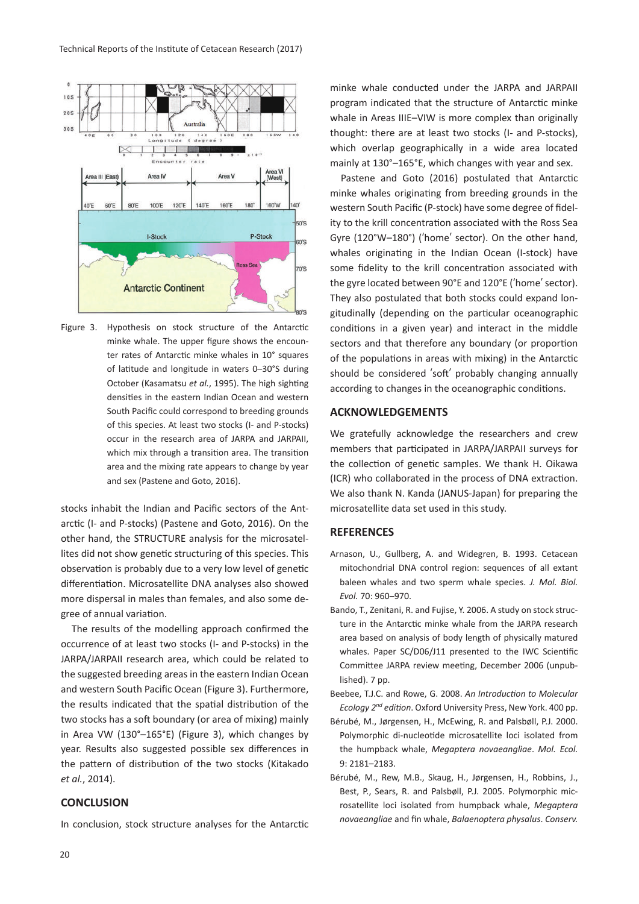

Figure 3. Hypothesis on stock structure of the Antarctic minke whale. The upper figure shows the encounter rates of Antarctic minke whales in 10° squares of latitude and longitude in waters 0–30°S during October (Kasamatsu *et al.*, 1995). The high sighting densities in the eastern Indian Ocean and western South Pacific could correspond to breeding grounds of this species. At least two stocks (I- and P-stocks) occur in the research area of JARPA and JARPAII, which mix through a transition area. The transition area and the mixing rate appears to change by year and sex (Pastene and Goto, 2016).

stocks inhabit the Indian and Pacific sectors of the Antarctic (I- and P-stocks) (Pastene and Goto, 2016). On the other hand, the STRUCTURE analysis for the microsatellites did not show genetic structuring of this species. This observation is probably due to a very low level of genetic differentiation. Microsatellite DNA analyses also showed more dispersal in males than females, and also some degree of annual variation.

The results of the modelling approach confirmed the occurrence of at least two stocks (I- and P-stocks) in the JARPA/JARPAII research area, which could be related to the suggested breeding areas in the eastern Indian Ocean and western South Pacific Ocean (Figure 3). Furthermore, the results indicated that the spatial distribution of the two stocks has a soft boundary (or area of mixing) mainly in Area VW (130°–165°E) (Figure 3), which changes by year. Results also suggested possible sex differences in the pattern of distribution of the two stocks (Kitakado *et al.*, 2014).

# **CONCLUSION**

In conclusion, stock structure analyses for the Antarctic

minke whale conducted under the JARPA and JARPAII program indicated that the structure of Antarctic minke whale in Areas IIIE–VIW is more complex than originally thought: there are at least two stocks (I- and P-stocks), which overlap geographically in a wide area located mainly at 130°–165°E, which changes with year and sex.

Pastene and Goto (2016) postulated that Antarctic minke whales originating from breeding grounds in the western South Pacific (P-stock) have some degree of fidelity to the krill concentration associated with the Ross Sea Gyre (120°W–180°) (ʻhome' sector). On the other hand, whales originating in the Indian Ocean (I-stock) have some fidelity to the krill concentration associated with the gyre located between 90°E and 120°E (ʻhome' sector). They also postulated that both stocks could expand longitudinally (depending on the particular oceanographic conditions in a given year) and interact in the middle sectors and that therefore any boundary (or proportion of the populations in areas with mixing) in the Antarctic should be considered ʻsoft' probably changing annually according to changes in the oceanographic conditions.

# **ACKNOWLEDGEMENTS**

We gratefully acknowledge the researchers and crew members that participated in JARPA/JARPAII surveys for the collection of genetic samples. We thank H. Oikawa (ICR) who collaborated in the process of DNA extraction. We also thank N. Kanda (JANUS-Japan) for preparing the microsatellite data set used in this study.

## **REFERENCES**

- Arnason, U., Gullberg, A. and Widegren, B. 1993. Cetacean mitochondrial DNA control region: sequences of all extant baleen whales and two sperm whale species. *J. Mol. Biol. Evol.* 70: 960–970.
- Bando, T., Zenitani, R. and Fujise, Y. 2006. A study on stock structure in the Antarctic minke whale from the JARPA research area based on analysis of body length of physically matured whales. Paper SC/D06/J11 presented to the IWC Scientific Committee JARPA review meeting, December 2006 (unpublished). 7 pp.
- Beebee, T.J.C. and Rowe, G. 2008. *An Introduction to Molecular Ecology 2nd edition*. Oxford University Press, New York. 400 pp.
- Bérubé, M., Jørgensen, H., McEwing, R. and Palsbøll, P.J. 2000. Polymorphic di-nucleotide microsatellite loci isolated from the humpback whale, *Megaptera novaeangliae*. *Mol. Ecol.* 9: 2181–2183.
- Bérubé, M., Rew, M.B., Skaug, H., Jørgensen, H., Robbins, J., Best, P., Sears, R. and Palsbøll, P.J. 2005. Polymorphic microsatellite loci isolated from humpback whale, *Megaptera novaeangliae* and fin whale, *Balaenoptera physalus*. *Conserv.*